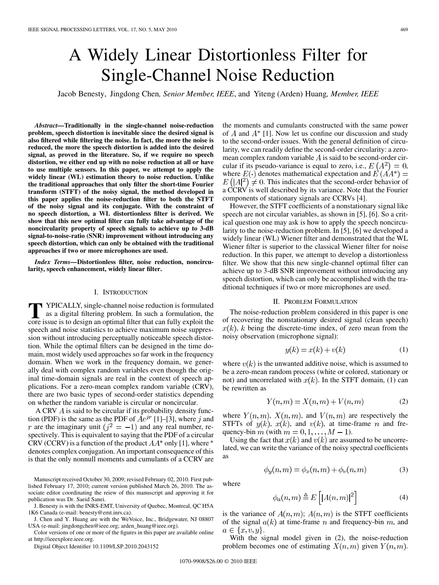# A Widely Linear Distortionless Filter for Single-Channel Noise Reduction

Jacob Benesty, Jingdong Chen*, Senior Member, IEEE*, and Yiteng (Arden) Huang*, Member, IEEE*

*Abstract—***Traditionally in the single-channel noise-reduction problem, speech distortion is inevitable since the desired signal is also filtered while filtering the noise. In fact, the more the noise is reduced, the more the speech distortion is added into the desired signal, as proved in the literature. So, if we require no speech distortion, we either end up with no noise reduction at all or have to use multiple sensors. In this paper, we attempt to apply the widely linear (WL) estimation theory to noise reduction. Unlike the traditional approaches that only filter the short-time Fourier transform (STFT) of the noisy signal, the method developed in this paper applies the noise-reduction filter to both the STFT of the noisy signal and its conjugate. With the constraint of no speech distortion, a WL distortionless filter is derived. We show that this new optimal filter can fully take advantage of the noncircularity property of speech signals to achieve up to 3-dB signal-to-noise-ratio (SNR) improvement without introducing any speech distortion, which can only be obtained with the traditional approaches if two or more microphones are used.**

*Index Terms—***Distortionless filter, noise reduction, noncircularity, speech enhancement, widely linear filter.**

### I. INTRODUCTION

**T** YPICALLY, single-channel noise reduction is formulated as a digital filtering problem. In such a formulation, the core issue is to design an optimal filter that can fully exploit the core issue is to design an optimal filter that can fully exploit the speech and noise statistics to achieve maximum noise suppression without introducing perceptually noticeable speech distortion. While the optimal filters can be designed in the time domain, most widely used approaches so far work in the frequency domain. When we work in the frequency domain, we generally deal with complex random variables even though the original time-domain signals are real in the context of speech applications. For a zero-mean complex random variable (CRV), there are two basic types of second-order statistics depending on whether the random variable is circular or noncircular.

A CRV  $\dot{A}$  is said to be circular if its probability density function (PDF) is the same as the PDF of  $Ae^{jr}$  [1]–[3], where j and r are the imaginary unit  $(j^2 = -1)$  and any real number, respectively. This is equivalent to saying that the PDF of a circular CRV (CCRV) is a function of the product  $AA^*$  only [1], where  $*$ denotes complex conjugation. An important consequence of this is that the only nonnull moments and cumulants of a CCRV are

Manuscript received October 30, 2009; revised February 02, 2010. First published February 17, 2010; current version published March 26, 2010. The associate editor coordinating the reiew of this manuscript and approving it for publication was Dr. Saeid Sanei.

J. Benesty is with the INRS-EMT, University of Quebec, Montreal, QC H5A 1K6 Canada (e-mail: benesty@emt.inrs.ca).

J. Chen and Y. Huang are with the WeVoice, Inc., Bridgewater, NJ 08807 USA (e-mail: jingdongchen@ieee.org; arden\_huang@ieee.org).

Color versions of one or more of the figures in this paper are available online at http://ieeexplore.ieee.org.

Digital Object Identifier 10.1109/LSP.2010.2043152

the moments and cumulants constructed with the same power of  $A$  and  $A^*$  [1]. Now let us confine our discussion and study to the second-order issues. With the general definition of circularity, we can readily define the second-order circularity: a zeromean complex random variable  $\vec{A}$  is said to be second-order circular if its pseudo-variance is equal to zero, i.e.,  $E(A^2) = 0$ , where  $E(\cdot)$  denotes mathematical expectation and  $E(AA^*) =$ . This indicates that the second-order behavior of a CCRV is well described by its variance. Note that the Fourier components of stationary signals are CCRVs [4].

However, the STFT coefficients of a nonstationary signal like speech are not circular variables, as shown in [5], [6]. So a critical question one may ask is how to apply the speech noncircularity to the noise-reduction problem. In [5], [6] we developed a widely linear (WL) Wiener filter and demonstrated that the WL Wiener filter is superior to the classical Wiener filter for noise reduction. In this paper, we attempt to develop a distortionless filter. We show that this new single-channel optimal filter can achieve up to 3-dB SNR improvement without introducing any speech distortion, which can only be accomplished with the traditional techniques if two or more microphones are used.

#### II. PROBLEM FORMULATION

The noise-reduction problem considered in this paper is one of recovering the nonstationary desired signal (clean speech)  $x(k)$ , k being the discrete-time index, of zero mean from the noisy observation (microphone signal):

$$
y(k) = x(k) + v(k)
$$
 (1)

where  $v(k)$  is the unwanted additive noise, which is assumed to be a zero-mean random process (white or colored, stationary or not) and uncorrelated with  $x(k)$ . In the STFT domain, (1) can be rewritten as

$$
Y(n,m) = X(n,m) + V(n,m)
$$
\n<sup>(2)</sup>

where  $Y(n, m)$ ,  $X(n, m)$ , and  $V(n, m)$  are respectively the STFTs of  $y(k)$ ,  $x(k)$ , and  $v(k)$ , at time-frame n and frequency-bin m (with  $m = 0, 1, \dots, M - 1$ ).

Using the fact that  $x(k)$  and  $y(k)$  are assumed to be uncorrelated, we can write the variance of the noisy spectral coefficients as

$$
\phi_y(n,m) = \phi_x(n,m) + \phi_v(n,m) \tag{3}
$$

where

$$
\phi_a(n,m) \triangleq E\left[ |A(n,m)|^2 \right] \tag{4}
$$

is the variance of  $A(n, m)$ ;  $A(n, m)$  is the STFT coefficients of the signal  $a(k)$  at time-frame n and frequency-bin m, and  $a \in \{x, v, y\}.$ 

With the signal model given in (2), the noise-reduction problem becomes one of estimating  $X(n, m)$  given  $Y(n, m)$ .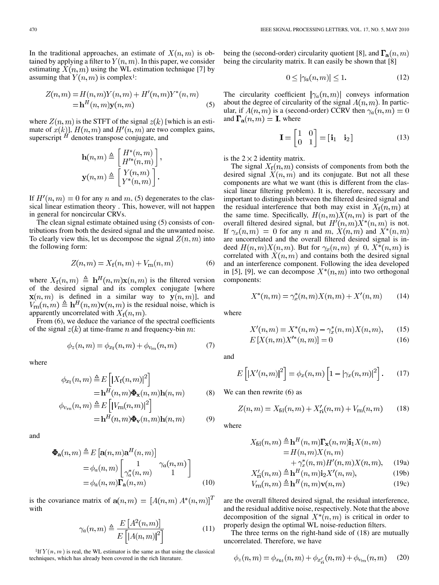In the traditional approaches, an estimate of  $X(n, m)$  is obtained by applying a filter to  $Y(n, m)$ . In this paper, we consider estimating  $X(n, m)$  using the WL estimation technique [7] by assuming that  $Y(n, m)$  is complex<sup>1</sup>:

$$
Z(n,m) = H(n,m)Y(n,m) + H'(n,m)Y^*(n,m)
$$
  
=
$$
\mathbf{h}^H(n,m)\mathbf{y}(n,m)
$$
 (5)

where  $Z(n, m)$  is the STFT of the signal  $z(k)$  [which is an estimate of  $x(k)$ ],  $H(n, m)$  and  $H'(n, m)$  are two complex gains, superscript  $^H$  denotes transpose conjugate, and

$$
\mathbf{h}(n,m) \triangleq \begin{bmatrix} H^*(n,m) \\ H'^*(n,m) \end{bmatrix},
$$

$$
\mathbf{y}(n,m) \triangleq \begin{bmatrix} Y(n,m) \\ Y^*(n,m) \end{bmatrix}.
$$

If  $H'(n,m) = 0$  for any n and m, (5) degenerates to the classical linear estimation theory . This, however, will not happen in general for noncircular CRVs.

The clean signal estimate obtained using (5) consists of contributions from both the desired signal and the unwanted noise. To clearly view this, let us decompose the signal  $Z(n, m)$  into the following form:

$$
Z(n,m) = X_f(n,m) + V_{\rm rn}(n,m) \tag{6}
$$

where  $X_f(n,m) \triangleq \mathbf{h}^H(n,m)\mathbf{x}(n,m)$  is the filtered version of the desired signal and its complex conjugate [where  $\mathbf{x}(n,m)$  is defined in a similar way to  $\mathbf{y}(n,m)$ ], and  $V_{\text{rn}}(n,m) \triangleq \mathbf{h}^H(n,m)\mathbf{v}(n,m)$  is the residual noise, which is apparently uncorrelated with  $X_f(n,m)$ .

From  $(6)$ , we deduce the variance of the spectral coefficients of the signal  $z(k)$  at time-frame n and frequency-bin m:

$$
\phi_z(n,m) = \phi_{x_{\rm f}}(n,m) + \phi_{v_{\rm rn}}(n,m) \tag{7}
$$

where

$$
\phi_{x_{\rm f}}(n,m) \triangleq E\left[|X_{\rm f}(n,m)|^2\right] \n= \mathbf{h}^H(n,m)\boldsymbol{\Phi}_\mathbf{x}(n,m)\mathbf{h}(n,m) \qquad (8) \n\phi_{v_{\rm rn}}(n,m) \triangleq E\left[|V_{\rm rn}(n,m)|^2\right] \n= \mathbf{h}^H(n,m)\boldsymbol{\Phi}_\mathbf{v}(n,m)\mathbf{h}(n,m) \qquad (9)
$$

and

$$
\Phi_{\mathbf{a}}(n,m) \stackrel{\Delta}{=} E\left[\mathbf{a}(n,m)\mathbf{a}^{H}(n,m)\right]
$$

$$
= \phi_{a}(n,m) \begin{bmatrix} 1 & \gamma_{a}(n,m) \\ \gamma_{a}^{*}(n,m) & 1 \end{bmatrix}
$$

$$
= \phi_{a}(n,m) \mathbf{\Gamma}_{\mathbf{a}}(n,m) \qquad (10)
$$

is the covariance matrix of  $a(n,m) = [A(n,m) A^*(n,m)]^T$ with

$$
\gamma_a(n,m) \triangleq \frac{E\left[A^2(n,m)\right]}{E\left[\left[A(n,m)\right]^2\right]}
$$
(11)

<sup>1</sup>If  $Y(n, m)$  is real, the WL estimator is the same as that using the classical techniques, which has already been covered in the rich literature.

being the (second-order) circularity quotient [8], and  $\Gamma_a(n,m)$ being the circularity matrix. It can easily be shown that [8]

$$
0 \le |\gamma_a(n,m)| \le 1. \tag{12}
$$

The circularity coefficient  $|\gamma_a(n,m)|$  conveys information about the degree of circularity of the signal  $A(n, m)$ . In particular, if  $A(n, m)$  is a (second-order) CCRV then  $\gamma_a(n, m) = 0$ and  $\Gamma_a(n,m) = I$ , where

$$
\mathbf{I} = \begin{bmatrix} 1 & 0 \\ 0 & 1 \end{bmatrix} = \begin{bmatrix} \mathbf{i}_1 & \mathbf{i}_2 \end{bmatrix} \tag{13}
$$

is the  $2 \times 2$  identity matrix.

The signal  $X_f(n,m)$  consists of components from both the desired signal  $X(n, m)$  and its conjugate. But not all these components are what we want (this is different from the classical linear filtering problem). It is, therefore, necessary and important to distinguish between the filtered desired signal and the residual interference that both may exist in  $X_f(n,m)$  at the same time. Specifically,  $H(n, m)X(n, m)$  is part of the overall filtered desired signal, but  $H'(n,m)X^*(n,m)$  is not. If  $\gamma_x(n,m) = 0$  for any n and m,  $X(n,m)$  and  $X^*(n,m)$ are uncorrelated and the overall filtered desired signal is indeed  $H(n,m)X(n,m)$ . But for  $\gamma_x(n,m) \neq 0$ ,  $X^*(n,m)$  is correlated with  $X(n, m)$  and contains both the desired signal and an interference component. Following the idea developed in [5], [9], we can decompose  $X^*(n,m)$  into two orthogonal components:

$$
X^*(n, m) = \gamma_x^*(n, m)X(n, m) + X'(n, m)
$$
 (14)

where

$$
X'(n,m) = X^*(n,m) - \gamma_x^*(n,m)X(n,m), \qquad (15)
$$

$$
E[X(n, m)X'^{*}(n, m)] = 0
$$
\n(16)

and

$$
E\left[\left|X'(n,m)\right|^2\right] = \phi_x(n,m)\left[1 - \left|\gamma_x(n,m)\right|^2\right].\tag{17}
$$

We can then rewrite  $(6)$  as

$$
Z(n,m) = X_{\text{fd}}(n,m) + X'_{\text{ri}}(n,m) + V_{\text{rn}}(n,m) \tag{18}
$$

where

$$
X_{\text{fd}}(n,m) \triangleq \mathbf{h}^{H}(n,m) \mathbf{\Gamma}_{\mathbf{x}}(n,m) \mathbf{i}_{1} X(n,m)
$$
  
=  $H(n,m) X(n,m)$ 

$$
+\gamma_x^*(n,m)H'(n,m)X(n,m), \quad \text{(19a)}
$$
  

$$
X'_{-}(n,m) \triangleq \mathbf{h}^H(n,m)\mathbf{i}_2 X'(n,m). \quad \text{(19b)}
$$

$$
\Lambda_{ri}(n,m) \triangleq \mathbf{h}^{H}(n,m)\mathbf{v}(n,m)
$$
\n
$$
V_{rn}(n,m) \triangleq \mathbf{h}^{H}(n,m)\mathbf{v}(n,m)
$$
\n(19c)

$$
F_{\rm rn}(n,m) \triangleq {\bf h}^H(n,m){\bf v}(n,m) \tag{19c}
$$

are the overall filtered desired signal, the residual interference, and the residual additive noise, respectively. Note that the above decomposition of the signal  $X^*(n,m)$  is critical in order to properly design the optimal WL noise-reduction filters.

The three terms on the right-hand side of (18) are mutually uncorrelated. Therefore, we have

$$
\phi_z(n,m) = \phi_{x_{\text{fd}}}(n,m) + \phi_{x'_{\text{ri}}}(n,m) + \phi_{v_{\text{rn}}}(n,m) \quad (20)
$$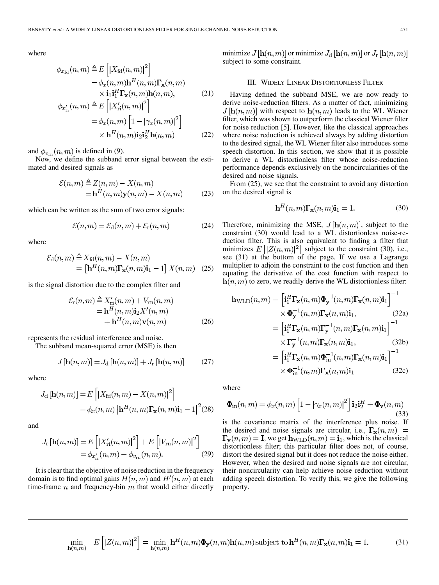where

$$
\phi_{x_{\text{fd}}}(n, m) \triangleq E\left[|X_{\text{fd}}(n, m)|^2\right] \n= \phi_x(n, m)\mathbf{h}^H(n, m)\mathbf{\Gamma_x}(n, m) \n\times \mathbf{i}_1 \mathbf{i}_1^H \mathbf{\Gamma_x}(n, m) \mathbf{h}(n, m),
$$
\n(21)  
\n
$$
\phi_{x'_{\text{ri}}}(n, m) \triangleq E\left[|X'_{\text{ri}}(n, m)|^2\right] \n= \phi_x(n, m)\left[1 - |\gamma_x(n, m)|^2\right] \n\times \mathbf{h}^H(n, m)\mathbf{i}_2 \mathbf{i}_2^H \mathbf{h}(n, m)
$$
\n(22)

and  $\phi_{v_{\rm rn}}(n,m)$  is defined in (9).

Now, we define the subband error signal between the estimated and desired signals as

$$
\mathcal{E}(n,m) \stackrel{\Delta}{=} Z(n,m) - X(n,m)
$$
  
=  $\mathbf{h}^H(n,m)\mathbf{y}(n,m) - X(n,m)$  (23)

which can be written as the sum of two error signals:

$$
\mathcal{E}(n,m) = \mathcal{E}_{\mathrm{d}}(n,m) + \mathcal{E}_{\mathrm{r}}(n,m) \tag{24}
$$

where

$$
\mathcal{E}_{\mathrm{d}}(n,m) \stackrel{\triangle}{=} X_{\mathrm{fd}}(n,m) - X(n,m)
$$
  
= 
$$
\left[\mathbf{h}^{H}(n,m)\mathbf{\Gamma}_{\mathbf{x}}(n,m)\mathbf{i}_{1} - 1\right]X(n,m)
$$
 (25)

is the signal distortion due to the complex filter and

$$
\mathcal{E}_{\rm r}(n,m) \stackrel{\Delta}{=} X'_{\rm ri}(n,m) + V_{\rm rn}(n,m) \n= \mathbf{h}^H(n,m)\mathbf{i}_2 X'(n,m) \n+ \mathbf{h}^H(n,m)\mathbf{v}(n,m)
$$
\n(26)

represents the residual interference and noise.

The subband mean-squared error (MSE) is then

$$
J\left[\mathbf{h}(n,m)\right] = J_{\mathrm{d}}\left[\mathbf{h}(n,m)\right] + J_{\mathrm{r}}\left[\mathbf{h}(n,m)\right] \tag{27}
$$

where

$$
J_{\mathrm{d}}\left[\mathbf{h}(n,m)\right] = E\left[|X_{\mathrm{fd}}(n,m) - X(n,m)|^2\right]
$$

$$
= \phi_x(n,m) \left|\mathbf{h}^H(n,m)\mathbf{\Gamma_x}(n,m)\mathbf{i}_1 - 1\right|^2 (28)
$$

and

$$
J_{\rm r}\left[\mathbf{h}(n,m)\right] = E\left[|X'_{\rm ri}(n,m)|^2\right] + E\left[|V_{\rm rn}(n,m)|^2\right] \\
= \phi_{x'_{\rm ri}}(n,m) + \phi_{v_{\rm rn}}(n,m).
$$
\n(29)

It is clear that the objective of noise reduction in the frequency domain is to find optimal gains  $H(n,m)$  and  $H'(n,m)$  at each time-frame  $n$  and frequency-bin  $m$  that would either directly minimize  $J[\mathbf{h}(n,m)]$  or minimize  $J_d[\mathbf{h}(n,m)]$  or  $J_r[\mathbf{h}(n,m)]$ subject to some constraint.

## III. WIDELY LINEAR DISTORTIONLESS FILTER

Having defined the subband MSE, we are now ready to derive noise-reduction filters. As a matter of fact, minimizing  $J[\mathbf{h}(n,m)]$  with respect to  $\mathbf{h}(n,m)$  leads to the WL Wiener filter, which was shown to outperform the classical Wiener filter for noise reduction [5]. However, like the classical approaches where noise reduction is achieved always by adding distortion to the desired signal, the WL Wiener filter also introduces some speech distortion. In this section, we show that it is possible to derive a WL distortionless filter whose noise-reduction performance depends exclusively on the noncircularities of the desired and noise signals.

From (25), we see that the constraint to avoid any distortion on the desired signal is

$$
\mathbf{h}^{H}(n,m)\mathbf{\Gamma}_{\mathbf{x}}(n,m)\mathbf{i}_{1} = 1.
$$
 (30)

Therefore, minimizing the MSE,  $J[\mathbf{h}(n,m)]$ , subject to the constraint (30) would lead to a WL distortionless noise-reduction filter. This is also equivalent to finding a filter that minimizes  $E\left[|Z(n,m)|^2\right]$  subject to the constraint (30), i.e., see (31) at the bottom of the page. If we use a Lagrange multiplier to adjoin the constraint to the cost function and then equating the derivative of the cost function with respect to  $h(n, m)$  to zero, we readily derive the WL distortionless filter:

$$
\mathbf{h}_{\text{WLD}}(n, m) = \left[\mathbf{i}_1^H \mathbf{\Gamma}_{\mathbf{x}}(n, m) \boldsymbol{\Phi}_{\mathbf{y}}^{-1}(n, m) \mathbf{\Gamma}_{\mathbf{x}}(n, m) \mathbf{i}_1\right]^{-1} \times \boldsymbol{\Phi}_{\mathbf{y}}^{-1}(n, m) \mathbf{\Gamma}_{\mathbf{x}}(n, m) \mathbf{i}_1, \qquad (32a) \n= \left[\mathbf{i}_1^H \mathbf{\Gamma}_{\mathbf{x}}(n, m) \mathbf{\Gamma}_{\mathbf{y}}^{-1}(n, m) \mathbf{\Gamma}_{\mathbf{x}}(n, m) \mathbf{i}_1\right]^{-1} \times \mathbf{\Gamma}_{\mathbf{y}}^{-1}(n, m) \mathbf{\Gamma}_{\mathbf{x}}(n, m) \mathbf{i}_1, \qquad (32b) \n= \left[\mathbf{i}_1^H \mathbf{\Gamma}_{\mathbf{x}}(n, m) \boldsymbol{\Phi}_{\text{in}}^{-1}(n, m) \mathbf{\Gamma}_{\mathbf{x}}(n, m) \mathbf{i}_1\right]^{-1} \times \boldsymbol{\Phi}_{\text{in}}^{-1}(n, m) \mathbf{\Gamma}_{\mathbf{x}}(n, m) \mathbf{i}_1 \qquad (32c)
$$

where

$$
\mathbf{\Phi}_{\rm in}(n,m) = \phi_x(n,m) \left[ 1 - |\gamma_x(n,m)|^2 \right] \mathbf{i}_2 \mathbf{i}_2^H + \mathbf{\Phi}_{\mathbf{v}}(n,m)
$$
\n(33)

is the covariance matrix of the interference plus noise. If the desired and noise signals are circular, i.e.,  $\Gamma_{\mathbf{x}}(n,m)$  =  $\Gamma_{\mathbf{v}}(n,m) = \mathbf{I}$ , we get  $\mathbf{h}_{\text{WLD}}(n,m) = \mathbf{i}_1$ , which is the classical distortionless filter; this particular filter does not, of course, distort the desired signal but it does not reduce the noise either. However, when the desired and noise signals are not circular, their noncircularity can help achieve noise reduction without adding speech distortion. To verify this, we give the following property.

$$
\min_{\mathbf{h}(n,m)} E\left[|Z(n,m)|^2\right] = \min_{\mathbf{h}(n,m)} \mathbf{h}^H(n,m) \boldsymbol{\Phi}_{\mathbf{y}}(n,m) \mathbf{h}(n,m) \text{ subject to } \mathbf{h}^H(n,m) \boldsymbol{\Gamma}_{\mathbf{x}}(n,m) \mathbf{i}_1 = 1. \tag{31}
$$